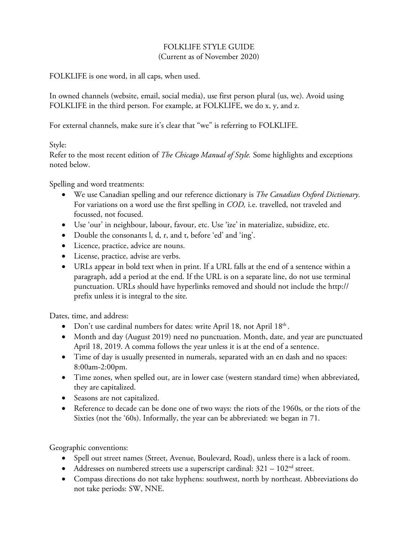## FOLKLIFE STYLE GUIDE

(Current as of November 2020)

FOLKLIFE is one word, in all caps, when used.

In owned channels (website, email, social media), use first person plural (us, we). Avoid using FOLKLIFE in the third person. For example, at FOLKLIFE, we do x, y, and z.

For external channels, make sure it's clear that "we" is referring to FOLKLIFE.

Style:

Refer to the most recent edition of *The Chicago Manual of Style.* Some highlights and exceptions noted below.

Spelling and word treatments:

- We use Canadian spelling and our reference dictionary is *The Canadian Oxford Dictionary*. For variations on a word use the first spelling in *COD,* i.e. travelled, not traveled and focussed, not focused.
- Use 'our' in neighbour, labour, favour, etc. Use 'ize' in materialize, subsidize, etc.
- Double the consonants l, d, r, and t, before 'ed' and 'ing'.
- Licence, practice, advice are nouns.
- License, practice, advise are verbs.
- URLs appear in bold text when in print. If a URL falls at the end of a sentence within a paragraph, add a period at the end. If the URL is on a separate line, do not use terminal punctuation. URLs should have hyperlinks removed and should not include the http:// prefix unless it is integral to the site.

Dates, time, and address:

- Don't use cardinal numbers for dates: write April 18, not April 18<sup>th</sup>.
- Month and day (August 2019) need no punctuation. Month, date, and year are punctuated April 18, 2019. A comma follows the year unless it is at the end of a sentence.
- Time of day is usually presented in numerals, separated with an en dash and no spaces: 8:00am-2:00pm.
- Time zones, when spelled out, are in lower case (western standard time) when abbreviated, they are capitalized.
- Seasons are not capitalized.
- Reference to decade can be done one of two ways: the riots of the 1960s, or the riots of the Sixties (not the '60s). Informally, the year can be abbreviated: we began in 71.

Geographic conventions:

- Spell out street names (Street, Avenue, Boulevard, Road), unless there is a lack of room.
- Addresses on numbered streets use a superscript cardinal:  $321 102<sup>nd</sup>$  street.
- Compass directions do not take hyphens: southwest, north by northeast. Abbreviations do not take periods: SW, NNE.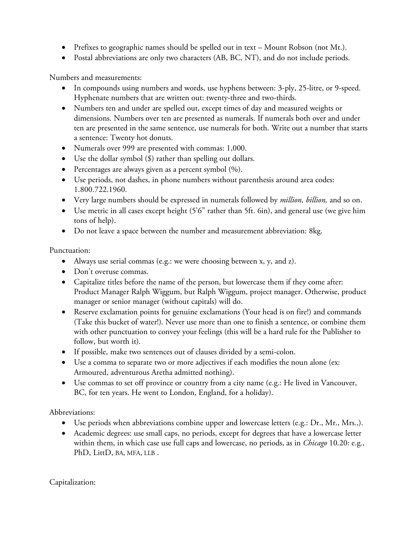- Prefixes to geographic names should be spelled out in text Mount Robson (not Mt.).
- Postal abbreviations are only two characters (AB, BC, NT), and do not include periods.

Numbers and measurements:

- In compounds using numbers and words, use hyphens between: 3-ply, 25-litre, or 9-speed. Hyphenate numbers that are written out: twenty-three and two-thirds.
- Numbers ten and under are spelled out, except times of day and measured weights or dimensions. Numbers over ten are presented as numerals. If numerals both over and under ten are presented in the same sentence, use numerals for both. Write out a number that starts a sentence: Twenty hot donuts.
- Numerals over 999 are presented with commas: 1,000.
- Use the dollar symbol (\$) rather than spelling out dollars.
- Percentages are always given as a percent symbol (%).
- Use periods, not dashes, in phone numbers without parenthesis around area codes: 1.800.722.1960.
- Very large numbers should be expressed in numerals followed by *million, billion,* and so on.
- Use metric in all cases except height (5'6" rather than 5ft. 6in), and general use (we give him tons of help).
- Do not leave a space between the number and measurement abbreviation: 8kg.

Punctuation:

- Always use serial commas (e.g.: we were choosing between x, y, and z).
- Don't overuse commas.
- Capitalize titles before the name of the person, but lowercase them if they come after: Product Manager Ralph Wiggum, but Ralph Wiggum, project manager. Otherwise, product manager or senior manager (without capitals) will do.
- Reserve exclamation points for genuine exclamations (Your head is on fire!) and commands (Take this bucket of water!). Never use more than one to finish a sentence, or combine them with other punctuation to convey your feelings (this will be a hard rule for the Publisher to follow, but worth it).
- If possible, make two sentences out of clauses divided by a semi-colon.
- Use a comma to separate two or more adjectives if each modifies the noun alone (ex: Armoured, adventurous Aretha admitted nothing).
- Use commas to set off province or country from a city name (e.g.: He lived in Vancouver, BC, for ten years. He went to London, England, for a holiday).

Abbreviations:

- Use periods when abbreviations combine upper and lowercase letters (e.g.: Dr., Mr., Mrs.,).
- Academic degrees: use small caps, no periods, except for degrees that have a lowercase letter within them, in which case use full caps and lowercase, no periods, as in *Chicago* 10.20: e.g., PhD, LittD, BA, MFA, LLB.

Capitalization: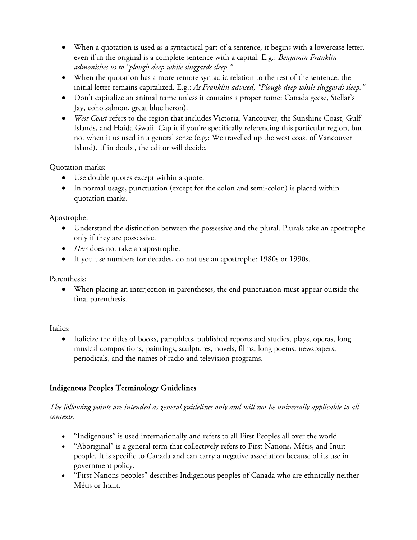- When a quotation is used as a syntactical part of a sentence, it begins with a lowercase letter, even if in the original is a complete sentence with a capital. E.g.: *Benjamin Franklin admonishes us to "plough deep while sluggards sleep."*
- When the quotation has a more remote syntactic relation to the rest of the sentence, the initial letter remains capitalized. E.g.: *As Franklin advised, "Plough deep while sluggards sleep."*
- Don't capitalize an animal name unless it contains a proper name: Canada geese, Stellar's Jay, coho salmon, great blue heron).
- *West Coast* refers to the region that includes Victoria, Vancouver, the Sunshine Coast, Gulf Islands, and Haida Gwaii. Cap it if you're specifically referencing this particular region, but not when it us used in a general sense (e.g.: We travelled up the west coast of Vancouver Island). If in doubt, the editor will decide.

Quotation marks:

- Use double quotes except within a quote.
- In normal usage, punctuation (except for the colon and semi-colon) is placed within quotation marks.

Apostrophe:

- Understand the distinction between the possessive and the plural. Plurals take an apostrophe only if they are possessive.
- *Hers* does not take an apostrophe.
- If you use numbers for decades, do not use an apostrophe: 1980s or 1990s.

Parenthesis:

• When placing an interjection in parentheses, the end punctuation must appear outside the final parenthesis.

## Italics:

• Italicize the titles of books, pamphlets, published reports and studies, plays, operas, long musical compositions, paintings, sculptures, novels, films, long poems, newspapers, periodicals, and the names of radio and television programs.

## Indigenous Peoples Terminology Guidelines

## *The following points are intended as general guidelines only and will not be universally applicable to all contexts.*

- "Indigenous" is used internationally and refers to all First Peoples all over the world.
- "Aboriginal" is a general term that collectively refers to First Nations, Métis, and Inuit people. It is specific to Canada and can carry a negative association because of its use in government policy.
- "First Nations peoples" describes Indigenous peoples of Canada who are ethnically neither Métis or Inuit.